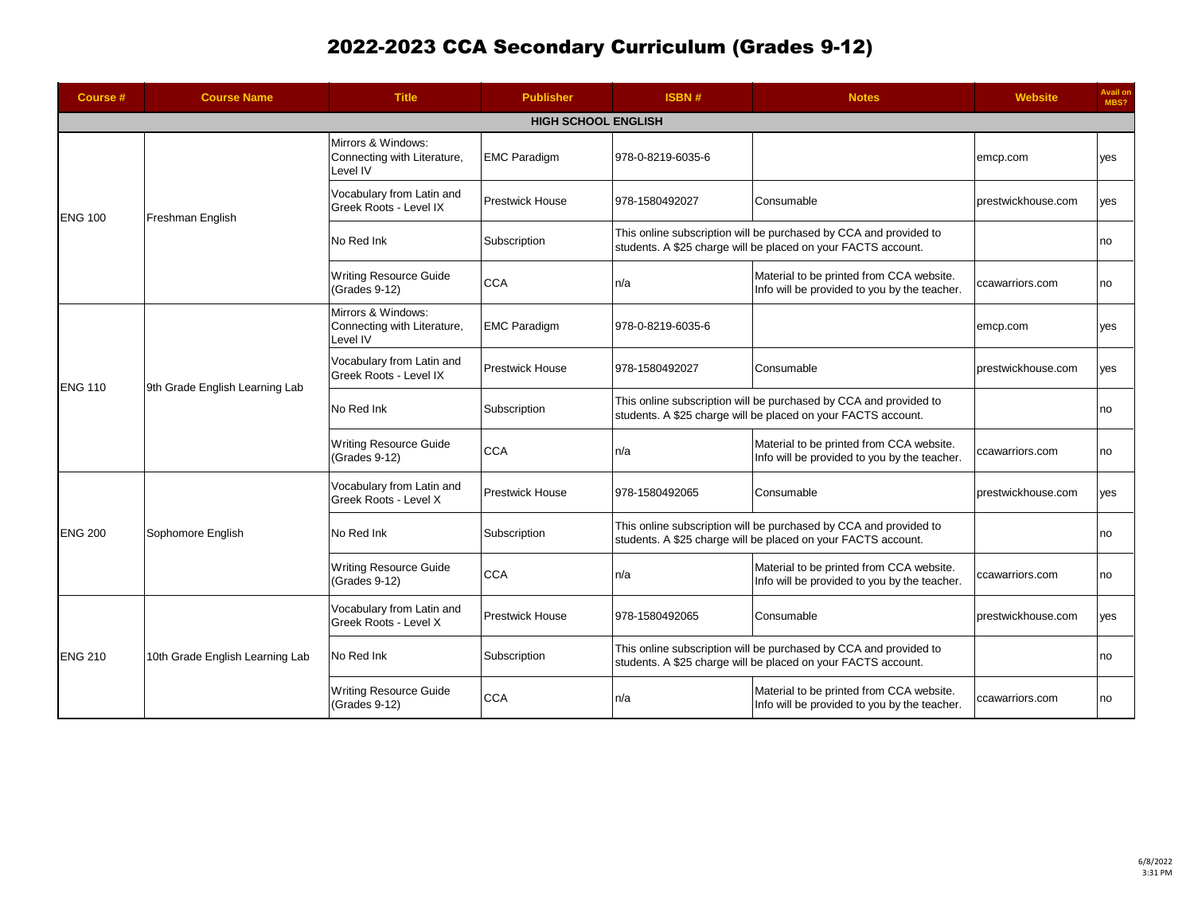| Course #                                           | <b>Course Name</b>              | <b>Title</b>                                                  | <b>Publisher</b>       | ISBN#                                                                                                                              | <b>Notes</b>                                                                                                                       | <b>Website</b>     | Avail on<br>MBS? |  |
|----------------------------------------------------|---------------------------------|---------------------------------------------------------------|------------------------|------------------------------------------------------------------------------------------------------------------------------------|------------------------------------------------------------------------------------------------------------------------------------|--------------------|------------------|--|
|                                                    | <b>HIGH SCHOOL ENGLISH</b>      |                                                               |                        |                                                                                                                                    |                                                                                                                                    |                    |                  |  |
| <b>ENG 100</b>                                     | Freshman English                | Mirrors & Windows:<br>Connecting with Literature,<br>Level IV | <b>EMC Paradigm</b>    | 978-0-8219-6035-6                                                                                                                  |                                                                                                                                    | emcp.com           | ves              |  |
|                                                    |                                 | Vocabulary from Latin and<br>Greek Roots - Level IX           | <b>Prestwick House</b> | 978-1580492027                                                                                                                     | Consumable                                                                                                                         | prestwickhouse.com | yes              |  |
|                                                    |                                 | No Red Ink                                                    | Subscription           | This online subscription will be purchased by CCA and provided to<br>students. A \$25 charge will be placed on your FACTS account. |                                                                                                                                    |                    | no               |  |
|                                                    |                                 | <b>Writing Resource Guide</b><br>(Grades 9-12)                | <b>CCA</b>             | n/a                                                                                                                                | Material to be printed from CCA website.<br>Info will be provided to you by the teacher.                                           | ccawarriors.com    | no               |  |
|                                                    | 9th Grade English Learning Lab  | Mirrors & Windows:<br>Connecting with Literature,<br>Level IV | <b>EMC Paradigm</b>    | 978-0-8219-6035-6                                                                                                                  |                                                                                                                                    | emcp.com           | ves              |  |
|                                                    |                                 | Vocabulary from Latin and<br>Greek Roots - Level IX           | <b>Prestwick House</b> | 978-1580492027                                                                                                                     | Consumable                                                                                                                         | prestwickhouse.com | ves              |  |
|                                                    |                                 | No Red Ink                                                    | Subscription           | This online subscription will be purchased by CCA and provided to<br>students. A \$25 charge will be placed on your FACTS account. |                                                                                                                                    |                    | no               |  |
| <b>ENG 110</b><br><b>ENG 200</b><br><b>ENG 210</b> |                                 | <b>Writing Resource Guide</b><br>(Grades 9-12)                | <b>CCA</b>             | n/a                                                                                                                                | Material to be printed from CCA website.<br>Info will be provided to you by the teacher.                                           | ccawarriors.com    | no               |  |
|                                                    | Sophomore English               | Vocabulary from Latin and<br>Greek Roots - Level X            | <b>Prestwick House</b> | 978-1580492065                                                                                                                     | Consumable                                                                                                                         | prestwickhouse.com | yes              |  |
|                                                    |                                 | No Red Ink                                                    | Subscription           | This online subscription will be purchased by CCA and provided to<br>students. A \$25 charge will be placed on your FACTS account. |                                                                                                                                    |                    | no               |  |
|                                                    |                                 | <b>Writing Resource Guide</b><br>(Grades 9-12)                | <b>CCA</b>             | n/a                                                                                                                                | Material to be printed from CCA website.<br>Info will be provided to you by the teacher.                                           | ccawarriors.com    | no               |  |
|                                                    | 10th Grade English Learning Lab | Vocabulary from Latin and<br>Greek Roots - Level X            | <b>Prestwick House</b> | 978-1580492065                                                                                                                     | Consumable                                                                                                                         | prestwickhouse.com | ves              |  |
|                                                    |                                 | No Red Ink                                                    | Subscription           |                                                                                                                                    | This online subscription will be purchased by CCA and provided to<br>students. A \$25 charge will be placed on your FACTS account. |                    | no               |  |
|                                                    |                                 | <b>Writing Resource Guide</b><br>(Grades 9-12)                | <b>CCA</b>             | n/a                                                                                                                                | Material to be printed from CCA website.<br>Info will be provided to you by the teacher.                                           | ccawarriors.com    | no               |  |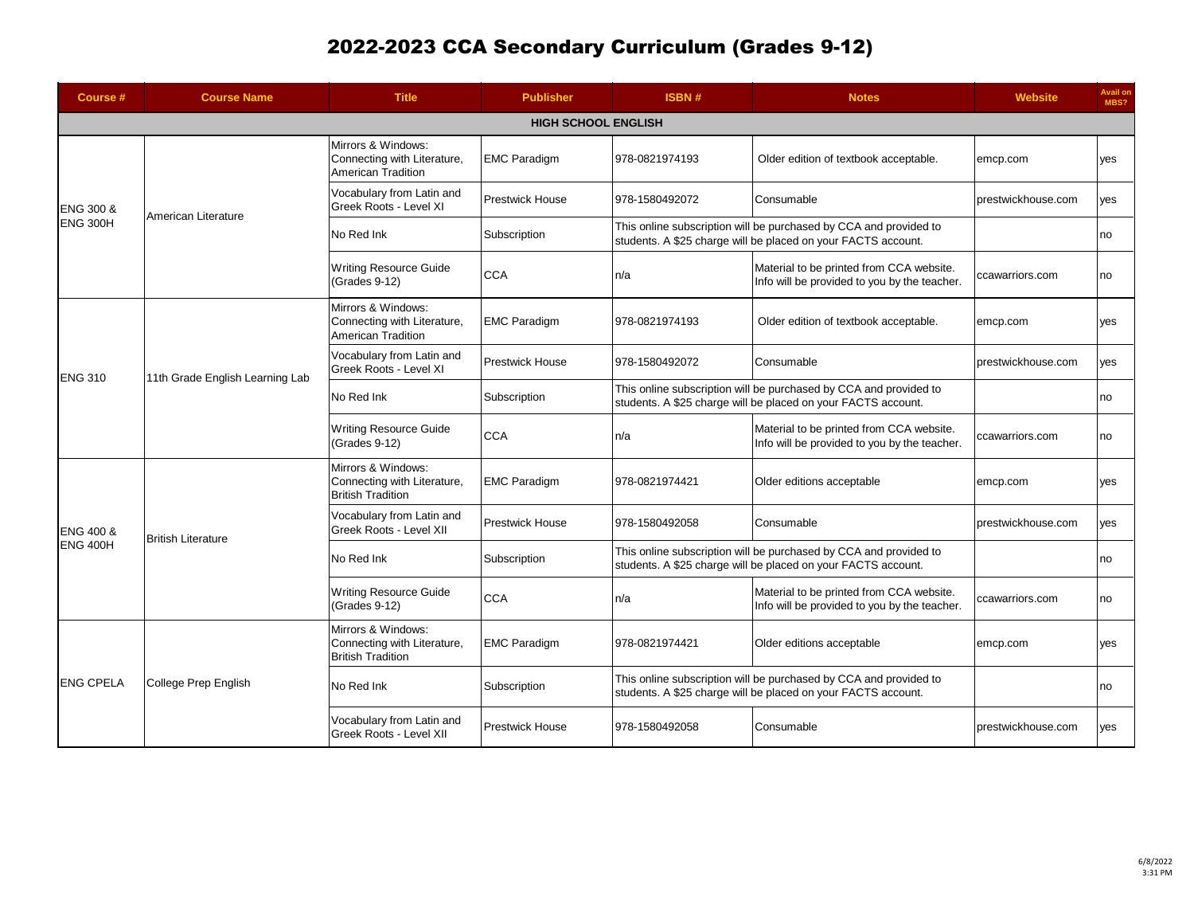| Course #                                                                      | <b>Course Name</b>              | <b>Title</b>                                                                   | <b>Publisher</b>       | <b>ISBN#</b>                                                                                                                       | <b>Notes</b>                                                                                                                       | <b>Website</b>     | Avail on<br>MBS? |  |
|-------------------------------------------------------------------------------|---------------------------------|--------------------------------------------------------------------------------|------------------------|------------------------------------------------------------------------------------------------------------------------------------|------------------------------------------------------------------------------------------------------------------------------------|--------------------|------------------|--|
| <b>HIGH SCHOOL ENGLISH</b>                                                    |                                 |                                                                                |                        |                                                                                                                                    |                                                                                                                                    |                    |                  |  |
| ENG 300 &<br><b>ENG 300H</b>                                                  | American Literature             | Mirrors & Windows:<br>Connecting with Literature,<br>American Tradition        | <b>EMC Paradigm</b>    | 978-0821974193                                                                                                                     | Older edition of textbook acceptable.                                                                                              | emcp.com           | yes              |  |
|                                                                               |                                 | Vocabulary from Latin and<br>Greek Roots - Level XI                            | <b>Prestwick House</b> | 978-1580492072                                                                                                                     | Consumable                                                                                                                         | prestwickhouse.com | yes              |  |
|                                                                               |                                 | No Red Ink                                                                     | Subscription           | This online subscription will be purchased by CCA and provided to<br>students. A \$25 charge will be placed on your FACTS account. |                                                                                                                                    |                    | no               |  |
|                                                                               |                                 | <b>Writing Resource Guide</b><br>(Grades 9-12)                                 | <b>CCA</b>             | n/a                                                                                                                                | Material to be printed from CCA website.<br>Info will be provided to you by the teacher.                                           | ccawarriors.com    | no               |  |
|                                                                               | 11th Grade English Learning Lab | Mirrors & Windows:<br>Connecting with Literature,<br><b>American Tradition</b> | <b>EMC Paradigm</b>    | 978-0821974193                                                                                                                     | Older edition of textbook acceptable.                                                                                              | emcp.com           | yes              |  |
|                                                                               |                                 | Vocabulary from Latin and<br>Greek Roots - Level XI                            | <b>Prestwick House</b> | 978-1580492072                                                                                                                     | Consumable                                                                                                                         | prestwickhouse.com | ves              |  |
|                                                                               |                                 | No Red Ink                                                                     | Subscription           | This online subscription will be purchased by CCA and provided to<br>students. A \$25 charge will be placed on your FACTS account. |                                                                                                                                    |                    | no               |  |
| <b>ENG 310</b><br><b>ENG 400 &amp;</b><br><b>ENG 400H</b><br><b>ENG CPELA</b> |                                 | Writing Resource Guide<br>(Grades 9-12)                                        | <b>CCA</b>             | n/a                                                                                                                                | Material to be printed from CCA website.<br>Info will be provided to you by the teacher.                                           | ccawarriors.com    | no               |  |
|                                                                               |                                 | Mirrors & Windows:<br>Connecting with Literature,<br><b>British Tradition</b>  | <b>EMC Paradigm</b>    | 978-0821974421                                                                                                                     | Older editions acceptable                                                                                                          | emcp.com           | yes              |  |
|                                                                               | <b>British Literature</b>       | Vocabulary from Latin and<br>Greek Roots - Level XII                           | <b>Prestwick House</b> | 978-1580492058                                                                                                                     | Consumable                                                                                                                         | prestwickhouse.com | yes              |  |
|                                                                               |                                 | No Red Ink                                                                     | Subscription           | This online subscription will be purchased by CCA and provided to<br>students. A \$25 charge will be placed on your FACTS account. |                                                                                                                                    |                    | no               |  |
|                                                                               |                                 | <b>Writing Resource Guide</b><br>(Grades 9-12)                                 | <b>CCA</b>             | n/a                                                                                                                                | Material to be printed from CCA website.<br>Info will be provided to you by the teacher.                                           | ccawarriors.com    | no               |  |
|                                                                               | College Prep English            | Mirrors & Windows:<br>Connecting with Literature,<br><b>British Tradition</b>  | <b>EMC Paradigm</b>    | 978-0821974421                                                                                                                     | Older editions acceptable                                                                                                          | emcp.com           | yes              |  |
|                                                                               |                                 | No Red Ink                                                                     | Subscription           |                                                                                                                                    | This online subscription will be purchased by CCA and provided to<br>students. A \$25 charge will be placed on your FACTS account. |                    | no               |  |
|                                                                               |                                 | Vocabulary from Latin and<br>Greek Roots - Level XII                           | <b>Prestwick House</b> | 978-1580492058                                                                                                                     | Consumable                                                                                                                         | prestwickhouse.com | yes              |  |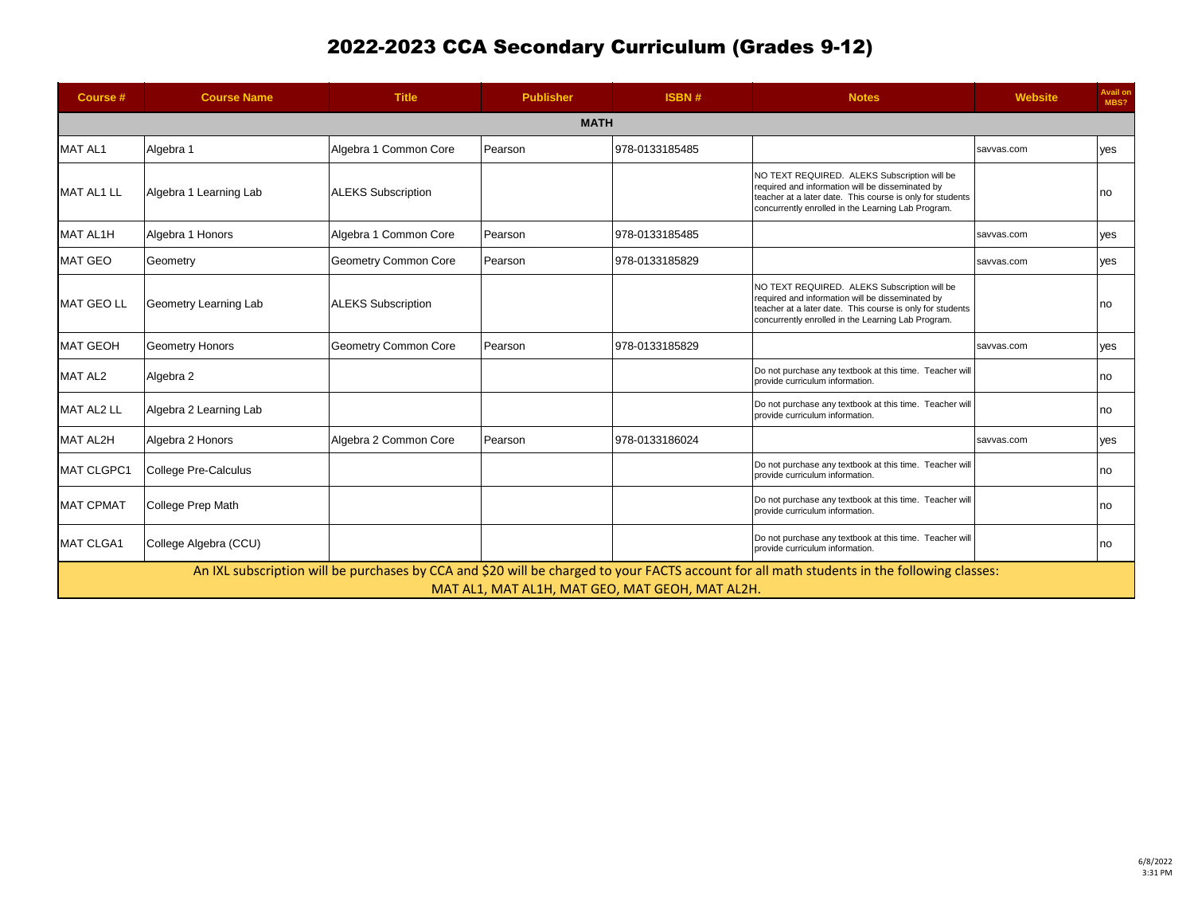| Course #          | <b>Course Name</b>                                                                                                                                                                             | <b>Title</b>              | <b>Publisher</b> | ISBN#          | <b>Notes</b>                                                                                                                                                                                                        | <b>Website</b> | <b>Avail on</b><br>MBS? |  |  |
|-------------------|------------------------------------------------------------------------------------------------------------------------------------------------------------------------------------------------|---------------------------|------------------|----------------|---------------------------------------------------------------------------------------------------------------------------------------------------------------------------------------------------------------------|----------------|-------------------------|--|--|
| <b>MATH</b>       |                                                                                                                                                                                                |                           |                  |                |                                                                                                                                                                                                                     |                |                         |  |  |
| MAT AL1           | Algebra 1                                                                                                                                                                                      | Algebra 1 Common Core     | Pearson          | 978-0133185485 |                                                                                                                                                                                                                     | savvas.com     | yes                     |  |  |
| <b>MAT AL1 LL</b> | Algebra 1 Learning Lab                                                                                                                                                                         | <b>ALEKS Subscription</b> |                  |                | NO TEXT REQUIRED. ALEKS Subscription will be<br>required and information will be disseminated by<br>teacher at a later date. This course is only for students<br>concurrently enrolled in the Learning Lab Program. |                | no                      |  |  |
| <b>MAT AL1H</b>   | Algebra 1 Honors                                                                                                                                                                               | Algebra 1 Common Core     | Pearson          | 978-0133185485 |                                                                                                                                                                                                                     | savvas.com     | ves                     |  |  |
| <b>MAT GEO</b>    | Geometry                                                                                                                                                                                       | Geometry Common Core      | Pearson          | 978-0133185829 |                                                                                                                                                                                                                     | savvas.com     | ves                     |  |  |
| <b>MAT GEO LL</b> | Geometry Learning Lab                                                                                                                                                                          | <b>ALEKS Subscription</b> |                  |                | NO TEXT REQUIRED. ALEKS Subscription will be<br>required and information will be disseminated by<br>teacher at a later date. This course is only for students<br>concurrently enrolled in the Learning Lab Program. |                | no                      |  |  |
| <b>MAT GEOH</b>   | Geometry Honors                                                                                                                                                                                | Geometry Common Core      | Pearson          | 978-0133185829 |                                                                                                                                                                                                                     | savvas.com     | yes                     |  |  |
| MAT AL2           | Algebra 2                                                                                                                                                                                      |                           |                  |                | Do not purchase any textbook at this time. Teacher will<br>provide curriculum information.                                                                                                                          |                | no                      |  |  |
| <b>MAT AL2 LL</b> | Algebra 2 Learning Lab                                                                                                                                                                         |                           |                  |                | Do not purchase any textbook at this time. Teacher will<br>provide curriculum information.                                                                                                                          |                | no                      |  |  |
| <b>MAT AL2H</b>   | Algebra 2 Honors                                                                                                                                                                               | Algebra 2 Common Core     | Pearson          | 978-0133186024 |                                                                                                                                                                                                                     | savvas.com     | yes                     |  |  |
| <b>MAT CLGPC1</b> | College Pre-Calculus                                                                                                                                                                           |                           |                  |                | Do not purchase any textbook at this time. Teacher will<br>provide curriculum information.                                                                                                                          |                | no                      |  |  |
| <b>MAT CPMAT</b>  | College Prep Math                                                                                                                                                                              |                           |                  |                | Do not purchase any textbook at this time. Teacher will<br>provide curriculum information.                                                                                                                          |                | no                      |  |  |
| <b>MAT CLGA1</b>  | College Algebra (CCU)                                                                                                                                                                          |                           |                  |                | Do not purchase any textbook at this time. Teacher will<br>provide curriculum information.                                                                                                                          |                | no                      |  |  |
|                   | An IXL subscription will be purchases by CCA and \$20 will be charged to your FACTS account for all math students in the following classes:<br>MAT AL1, MAT AL1H, MAT GEO, MAT GEOH, MAT AL2H. |                           |                  |                |                                                                                                                                                                                                                     |                |                         |  |  |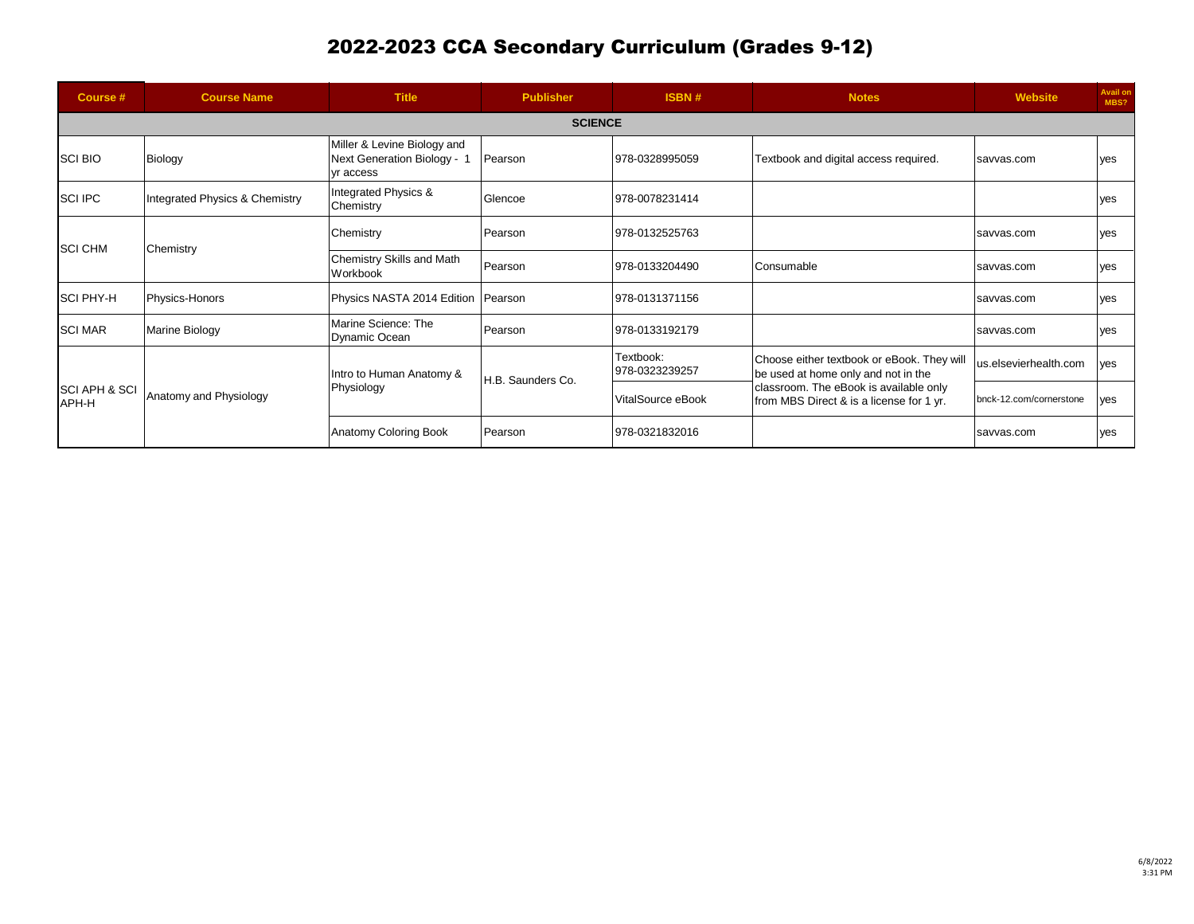| Course #                          | <b>Course Name</b>             | <b>Title</b>                                                            | <b>Publisher</b>  | <b>ISBN#</b>                | <b>Notes</b>                                                                                                                                                            | <b>Website</b>          | <b>Avail on</b><br>MBS? |  |  |
|-----------------------------------|--------------------------------|-------------------------------------------------------------------------|-------------------|-----------------------------|-------------------------------------------------------------------------------------------------------------------------------------------------------------------------|-------------------------|-------------------------|--|--|
|                                   | <b>SCIENCE</b>                 |                                                                         |                   |                             |                                                                                                                                                                         |                         |                         |  |  |
| <b>SCI BIO</b>                    | Biology                        | Miller & Levine Biology and<br>Next Generation Biology - 1<br>yr access | Pearson           | 978-0328995059              | Textbook and digital access required.                                                                                                                                   | savvas.com              | ves                     |  |  |
| <b>SCI IPC</b>                    | Integrated Physics & Chemistry | Integrated Physics &<br>Chemistry                                       | Glencoe           | 978-0078231414              |                                                                                                                                                                         |                         | ves                     |  |  |
| <b>SCI CHM</b>                    | Chemistry                      | Chemistry                                                               | Pearson           | 978-0132525763              |                                                                                                                                                                         | savvas.com              | yes                     |  |  |
|                                   |                                | Chemistry Skills and Math<br>Workbook                                   | Pearson           | 978-0133204490              | Consumable                                                                                                                                                              | savvas.com              | yes                     |  |  |
| <b>SCI PHY-H</b>                  | Physics-Honors                 | Physics NASTA 2014 Edition Pearson                                      |                   | 978-0131371156              |                                                                                                                                                                         | savvas.com              | yes                     |  |  |
| <b>SCI MAR</b>                    | Marine Biology                 | Marine Science: The<br>Dynamic Ocean                                    | Pearson           | 978-0133192179              |                                                                                                                                                                         | savvas.com              | yes                     |  |  |
|                                   |                                | Intro to Human Anatomy &                                                | H.B. Saunders Co. | Textbook:<br>978-0323239257 | Choose either textbook or eBook. They will<br>be used at home only and not in the<br>classroom. The eBook is available only<br>from MBS Direct & is a license for 1 yr. | us.elsevierhealth.com   | ves                     |  |  |
| <b>SCI APH &amp; SCI</b><br>APH-H | Anatomy and Physiology         | Physiology                                                              |                   | VitalSource eBook           |                                                                                                                                                                         | bnck-12.com/cornerstone | ves                     |  |  |
|                                   |                                | Anatomy Coloring Book                                                   | Pearson           | 978-0321832016              |                                                                                                                                                                         | savvas.com              | yes                     |  |  |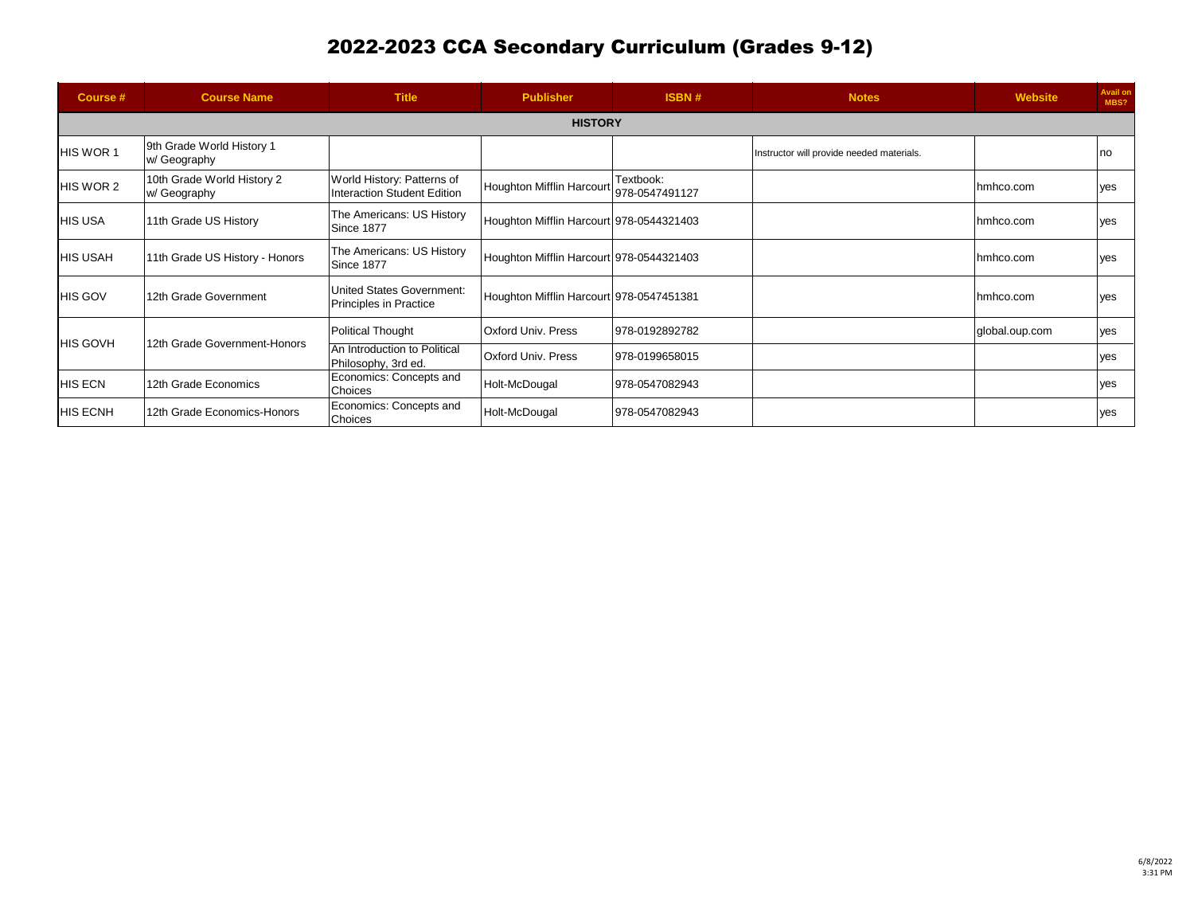| Course #        | <b>Course Name</b>                         | <b>Title</b>                                               | <b>Publisher</b>                         | ISBN#                       | <b>Notes</b>                              | <b>Website</b> | <b>Avail on</b><br>MBS? |  |  |
|-----------------|--------------------------------------------|------------------------------------------------------------|------------------------------------------|-----------------------------|-------------------------------------------|----------------|-------------------------|--|--|
|                 | <b>HISTORY</b>                             |                                                            |                                          |                             |                                           |                |                         |  |  |
| HIS WOR 1       | 9th Grade World History 1<br>w/ Geography  |                                                            |                                          |                             | Instructor will provide needed materials. |                | no                      |  |  |
| HIS WOR 2       | 10th Grade World History 2<br>w/ Geography | World History: Patterns of<br>Interaction Student Edition  | <b>Houghton Mifflin Harcourt</b>         | Textbook:<br>978-0547491127 |                                           | hmhco.com      | yes                     |  |  |
| <b>HIS USA</b>  | 11th Grade US History                      | The Americans: US History<br>Since 1877                    | Houghton Mifflin Harcourt 978-0544321403 |                             |                                           | hmhco.com      | yes                     |  |  |
| <b>HIS USAH</b> | 11th Grade US History - Honors             | The Americans: US History<br>Since 1877                    | Houghton Mifflin Harcourt 978-0544321403 |                             |                                           | hmhco.com      | <b>ves</b>              |  |  |
| <b>HIS GOV</b>  | 12th Grade Government                      | United States Government:<br><b>Principles in Practice</b> | Houghton Mifflin Harcourt 978-0547451381 |                             |                                           | hmhco.com      | yes                     |  |  |
|                 |                                            | <b>Political Thought</b>                                   | Oxford Univ. Press                       | 978-0192892782              |                                           | global.oup.com | ves                     |  |  |
| <b>HIS GOVH</b> | 12th Grade Government-Honors               | An Introduction to Political<br>Philosophy, 3rd ed.        | Oxford Univ. Press                       | 978-0199658015              |                                           |                | <b>ves</b>              |  |  |
| <b>HIS ECN</b>  | 12th Grade Economics                       | Economics: Concepts and<br><b>Choices</b>                  | Holt-McDougal                            | 978-0547082943              |                                           |                | yes                     |  |  |
| <b>HIS ECNH</b> | 12th Grade Economics-Honors                | Economics: Concepts and<br><b>Choices</b>                  | Holt-McDougal                            | 978-0547082943              |                                           |                | yes                     |  |  |